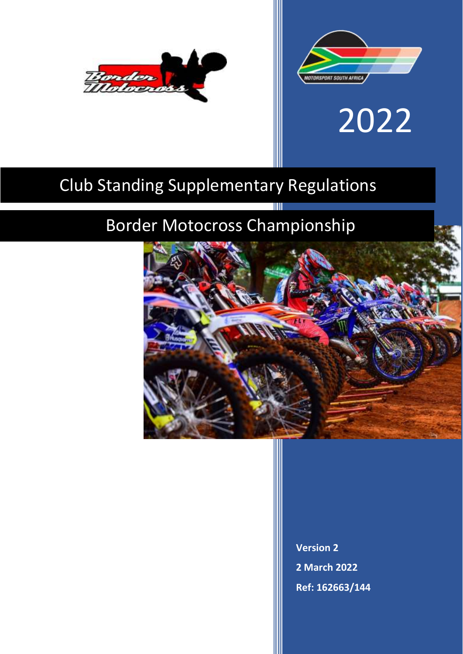



# 2022

# Club Standing Supplementary Regulations

# Border Motocross Championship



**Version 2 2 March 2022 Ref: 162663/144**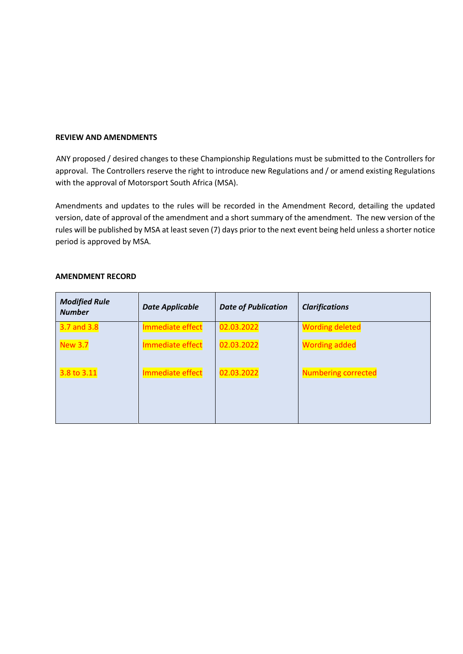#### **REVIEW AND AMENDMENTS**

ANY proposed / desired changes to these Championship Regulations must be submitted to the Controllers for approval. The Controllers reserve the right to introduce new Regulations and / or amend existing Regulations with the approval of Motorsport South Africa (MSA).

Amendments and updates to the rules will be recorded in the Amendment Record, detailing the updated version, date of approval of the amendment and a short summary of the amendment. The new version of the rules will be published by MSA at least seven (7) days prior to the next event being held unless a shorter notice period is approved by MSA.

| <b>Modified Rule</b><br><b>Number</b> | <b>Date Applicable</b> | <b>Date of Publication</b> | <b>Clarifications</b>      |
|---------------------------------------|------------------------|----------------------------|----------------------------|
| 3.7 and 3.8                           | Immediate effect       | 02.03.2022                 | <b>Wording deleted</b>     |
| <b>New 3.7</b>                        | Immediate effect       | 02.03.2022                 | <b>Wording added</b>       |
| 3.8 to 3.11                           | Immediate effect       | 02.03.2022                 | <b>Numbering corrected</b> |

#### **AMENDMENT RECORD**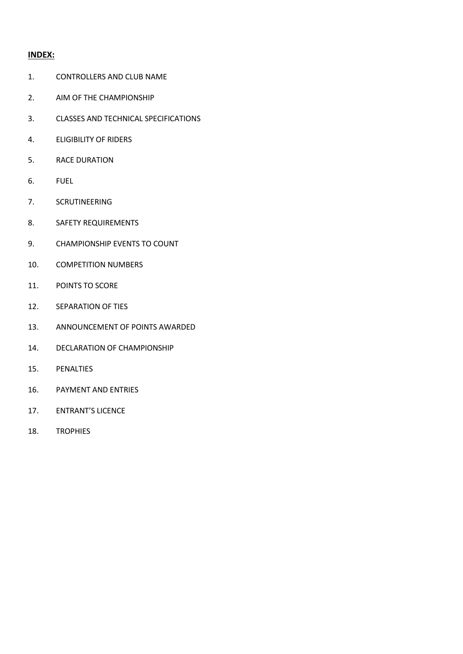# **INDEX:**

- 1. CONTROLLERS AND CLUB NAME
- 2. AIM OF THE CHAMPIONSHIP
- 3. CLASSES AND TECHNICAL SPECIFICATIONS
- 4. ELIGIBILITY OF RIDERS
- 5. RACE DURATION
- 6. FUEL
- 7. SCRUTINEERING
- 8. SAFETY REQUIREMENTS
- 9. CHAMPIONSHIP EVENTS TO COUNT
- 10. COMPETITION NUMBERS
- 11. POINTS TO SCORE
- 12. SEPARATION OF TIES
- 13. ANNOUNCEMENT OF POINTS AWARDED
- 14. DECLARATION OF CHAMPIONSHIP
- 15. PENALTIES
- 16. PAYMENT AND ENTRIES
- 17. ENTRANT'S LICENCE
- 18. TROPHIES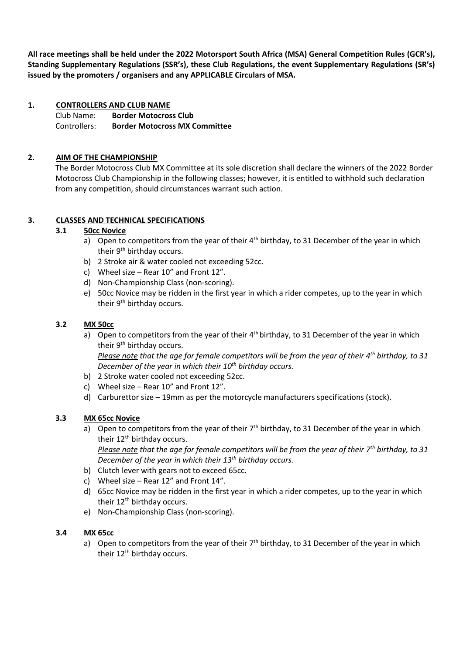**All race meetings shall be held under the 2022 Motorsport South Africa (MSA) General Competition Rules (GCR's), Standing Supplementary Regulations (SSR's), these Club Regulations, the event Supplementary Regulations (SR's) issued by the promoters / organisers and any APPLICABLE Circulars of MSA.** 

# **1. CONTROLLERS AND CLUB NAME**

Club Name: **Border Motocross Club** Controllers: **Border Motocross MX Committee**

# **2. AIM OF THE CHAMPIONSHIP**

The Border Motocross Club MX Committee at its sole discretion shall declare the winners of the 2022 Border Motocross Club Championship in the following classes; however, it is entitled to withhold such declaration from any competition, should circumstances warrant such action.

# **3. CLASSES AND TECHNICAL SPECIFICATIONS**

#### **3.1 50cc Novice**

- a) Open to competitors from the year of their  $4<sup>th</sup>$  birthday, to 31 December of the year in which their 9<sup>th</sup> birthday occurs.
- b) 2 Stroke air & water cooled not exceeding 52cc.
- c) Wheel size Rear 10" and Front 12".
- d) Non-Championship Class (non-scoring).
- e) 50cc Novice may be ridden in the first year in which a rider competes, up to the year in which their 9<sup>th</sup> birthday occurs.

#### **3.2 MX 50cc**

- a) Open to competitors from the year of their  $4<sup>th</sup>$  birthday, to 31 December of the year in which their 9<sup>th</sup> birthday occurs. *Please note that the age for female competitors will be from the year of their 4th birthday, to 31*
- *December of the year in which their 10th birthday occurs.*
- b) 2 Stroke water cooled not exceeding 52cc.
- c) Wheel size Rear 10" and Front 12".
- d) Carburettor size 19mm as per the motorcycle manufacturers specifications (stock).

# **3.3 MX 65cc Novice**

a) Open to competitors from the year of their  $7<sup>th</sup>$  birthday, to 31 December of the year in which their 12<sup>th</sup> birthday occurs.

*Please note that the age for female competitors will be from the year of their 7th birthday, to 31 December of the year in which their 13th birthday occurs.* 

- b) Clutch lever with gears not to exceed 65cc.
- c) Wheel size Rear 12" and Front 14".
- d) 65cc Novice may be ridden in the first year in which a rider competes, up to the year in which their 12<sup>th</sup> birthday occurs.
- e) Non-Championship Class (non-scoring).

#### **3.4 MX 65cc**

a) Open to competitors from the year of their  $7<sup>th</sup>$  birthday, to 31 December of the year in which their 12<sup>th</sup> birthday occurs.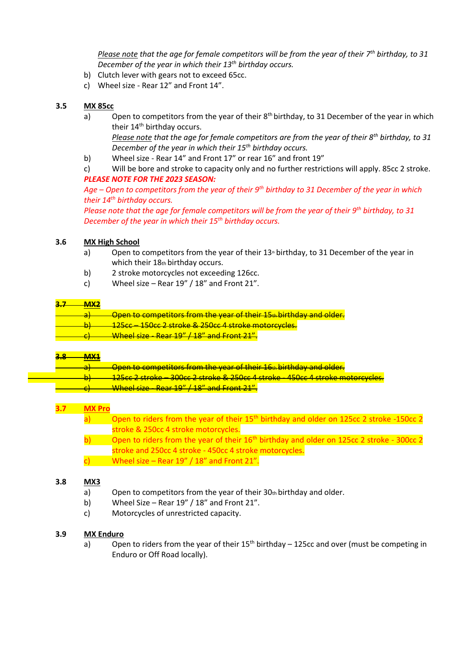*Please note that the age for female competitors will be from the year of their 7th birthday, to 31 December of the year in which their 13th birthday occurs.* 

- b) Clutch lever with gears not to exceed 65cc.
- c) Wheel size Rear 12" and Front 14".

#### **3.5 MX 85cc**

- a) Open to competitors from the year of their  $8<sup>th</sup>$  birthday, to 31 December of the year in which their 14<sup>th</sup> birthday occurs. *Please note that the age for female competitors are from the year of their 8th birthday, to 31 December of the year in which their 15th birthday occurs.*
- b) Wheel size Rear 14" and Front 17" or rear 16" and front 19"
- c) Will be bore and stroke to capacity only and no further restrictions will apply. 85cc 2 stroke. *PLEASE NOTE FOR THE 2023 SEASON:*

*Age – Open to competitors from the year of their 9th birthday to 31 December of the year in which their 14th birthday occurs.* 

*Please note that the age for female competitors will be from the year of their 9th birthday, to 31 December of the year in which their 15th birthday occurs.* 

#### **3.6 MX High School**

- a) Open to competitors from the year of their  $13<sup>*</sup>$  birthday, to 31 December of the year in which their 18th birthday occurs.
- b) 2 stroke motorcycles not exceeding 126cc.
- c) Wheel size Rear  $19'' / 18''$  and Front 21".

#### **3.7 MX2**

- a) Open to competitors from the year of their 15<sup>th</sup> birthday and older.
- b) 125cc 150cc 2 stroke & 250cc 4 stroke motorcycles.
- Wheel size Rear 19" / 18" and Front 21".

#### **3.8 MX1**

|  | Open to competitors from the year of their 16th birthday and older.                            |
|--|------------------------------------------------------------------------------------------------|
|  |                                                                                                |
|  | <del>_125cc 2 stroke = 300cc 2 stroke &amp; 250cc 4 stroke = 450cc 4 stroke motorcycles.</del> |
|  |                                                                                                |
|  | Wheel size - Rear 19" / 18" and Front 21".                                                     |
|  |                                                                                                |

# **3.7 MX Pro**

|                                                         | Open to riders from the year of their 15 <sup>th</sup> birthday and older on 125cc 2 stroke -150cc 2  |  |  |
|---------------------------------------------------------|-------------------------------------------------------------------------------------------------------|--|--|
|                                                         | stroke & 250cc 4 stroke motorcycles.                                                                  |  |  |
|                                                         | Open to riders from the year of their 16 <sup>th</sup> birthday and older on 125cc 2 stroke - 300cc 2 |  |  |
| stroke and 250cc 4 stroke - 450cc 4 stroke motorcycles. |                                                                                                       |  |  |
|                                                         | Wheel size - Rear 19" / 18" and Front 21".                                                            |  |  |

#### **3.8 MX3**

- a) Open to competitors from the year of their  $30<sub>th</sub>$  birthday and older.
- b) Wheel Size Rear  $19'' / 18''$  and Front 21".
- c) Motorcycles of unrestricted capacity.

#### **3.9 MX Enduro**

a) Open to riders from the year of their  $15<sup>th</sup>$  birthday – 125cc and over (must be competing in Enduro or Off Road locally).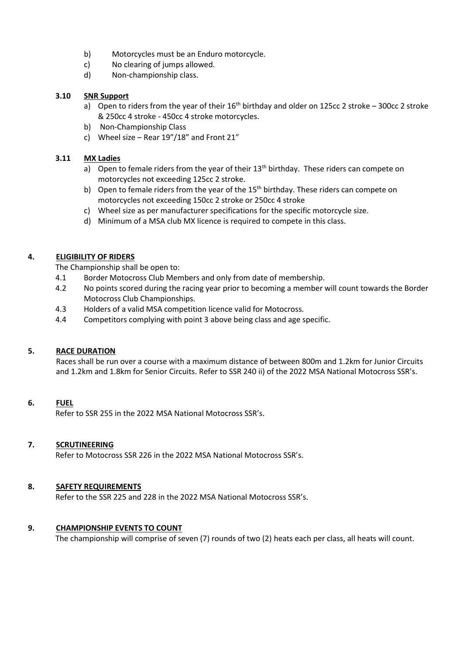- b) Motorcycles must be an Enduro motorcycle.
- c) No clearing of jumps allowed.
- d) Non-championship class.

# **3.10 SNR Support**

- a) Open to riders from the year of their  $16<sup>th</sup>$  birthday and older on 125cc 2 stroke 300cc 2 stroke & 250cc 4 stroke - 450cc 4 stroke motorcycles.
- b) Non-Championship Class
- c) Wheel size Rear 19"/18" and Front 21"

# **3.11 MX Ladies**

- a) Open to female riders from the year of their  $13<sup>th</sup>$  birthday. These riders can compete on motorcycles not exceeding 125cc 2 stroke.
- b) Open to female riders from the year of the  $15<sup>th</sup>$  birthday. These riders can compete on motorcycles not exceeding 150cc 2 stroke or 250cc 4 stroke
- c) Wheel size as per manufacturer specifications for the specific motorcycle size.
- d) Minimum of a MSA club MX licence is required to compete in this class.

# **4. ELIGIBILITY OF RIDERS**

The Championship shall be open to:

- 4.1 Border Motocross Club Members and only from date of membership.
- 4.2 No points scored during the racing year prior to becoming a member will count towards the Border Motocross Club Championships.
- 4.3 Holders of a valid MSA competition licence valid for Motocross.
- 4.4 Competitors complying with point 3 above being class and age specific.

# **5. RACE DURATION**

Races shall be run over a course with a maximum distance of between 800m and 1.2km for Junior Circuits and 1.2km and 1.8km for Senior Circuits. Refer to SSR 240 ii) of the 2022 MSA National Motocross SSR's.

# **6. FUEL**

Refer to SSR 255 in the 2022 MSA National Motocross SSR's.

# **7. SCRUTINEERING**

Refer to Motocross SSR 226 in the 2022 MSA National Motocross SSR's.

# **8. SAFETY REQUIREMENTS**

Refer to the SSR 225 and 228 in the 2022 MSA National Motocross SSR's.

# **9. CHAMPIONSHIP EVENTS TO COUNT**

The championship will comprise of seven (7) rounds of two (2) heats each per class, all heats will count.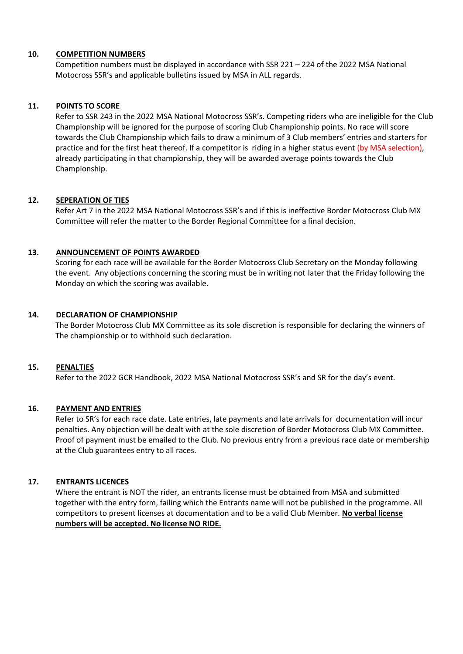#### **10. COMPETITION NUMBERS**

Competition numbers must be displayed in accordance with SSR 221 – 224 of the 2022 MSA National Motocross SSR's and applicable bulletins issued by MSA in ALL regards.

# **11. POINTS TO SCORE**

Refer to SSR 243 in the 2022 MSA National Motocross SSR's. Competing riders who are ineligible for the Club Championship will be ignored for the purpose of scoring Club Championship points. No race will score towards the Club Championship which fails to draw a minimum of 3 Club members' entries and starters for practice and for the first heat thereof. If a competitor is riding in a higher status event (by MSA selection), already participating in that championship, they will be awarded average points towards the Club Championship.

#### **12. SEPERATION OF TIES**

Refer Art 7 in the 2022 MSA National Motocross SSR's and if this is ineffective Border Motocross Club MX Committee will refer the matter to the Border Regional Committee for a final decision.

#### **13. ANNOUNCEMENT OF POINTS AWARDED**

Scoring for each race will be available for the Border Motocross Club Secretary on the Monday following the event. Any objections concerning the scoring must be in writing not later that the Friday following the Monday on which the scoring was available.

#### **14. DECLARATION OF CHAMPIONSHIP**

The Border Motocross Club MX Committee as its sole discretion is responsible for declaring the winners of The championship or to withhold such declaration.

#### **15. PENALTIES**

Refer to the 2022 GCR Handbook, 2022 MSA National Motocross SSR's and SR for the day's event.

# **16. PAYMENT AND ENTRIES**

Refer to SR's for each race date. Late entries, late payments and late arrivals for documentation will incur penalties. Any objection will be dealt with at the sole discretion of Border Motocross Club MX Committee. Proof of payment must be emailed to the Club. No previous entry from a previous race date or membership at the Club guarantees entry to all races.

#### **17. ENTRANTS LICENCES**

Where the entrant is NOT the rider, an entrants license must be obtained from MSA and submitted together with the entry form, failing which the Entrants name will not be published in the programme. All competitors to present licenses at documentation and to be a valid Club Member. **No verbal license numbers will be accepted. No license NO RIDE.**